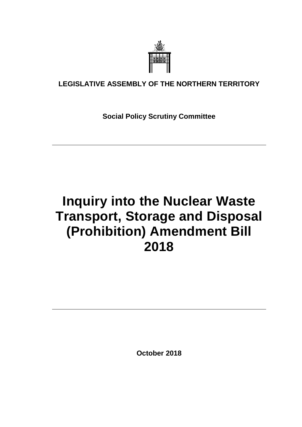

### **LEGISLATIVE ASSEMBLY OF THE NORTHERN TERRITORY**

**Social Policy Scrutiny Committee**

# **Inquiry into the Nuclear Waste Transport, Storage and Disposal (Prohibition) Amendment Bill 2018**

**October 2018**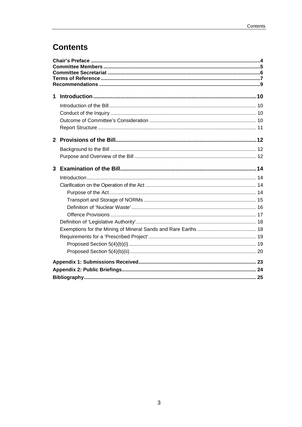## **Contents**

| 1            |  |  |  |
|--------------|--|--|--|
|              |  |  |  |
|              |  |  |  |
|              |  |  |  |
|              |  |  |  |
| $2^{\circ}$  |  |  |  |
|              |  |  |  |
|              |  |  |  |
| $\mathbf{3}$ |  |  |  |
|              |  |  |  |
|              |  |  |  |
|              |  |  |  |
|              |  |  |  |
|              |  |  |  |
|              |  |  |  |
|              |  |  |  |
|              |  |  |  |
|              |  |  |  |
|              |  |  |  |
|              |  |  |  |
|              |  |  |  |
|              |  |  |  |
|              |  |  |  |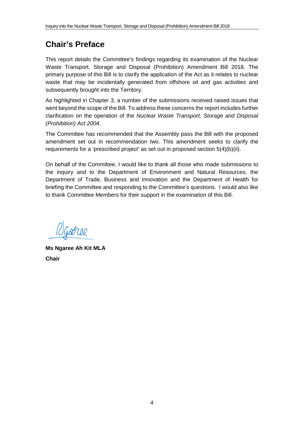## <span id="page-3-0"></span>**Chair's Preface**

This report details the Committee's findings regarding its examination of the Nuclear Waste Transport, Storage and Disposal (Prohibition) Amendment Bill 2018. The primary purpose of this Bill is to clarify the application of the Act as it relates to nuclear waste that may be incidentally generated from offshore oil and gas activities and subsequently brought into the Territory.

As highlighted in Chapter 3, a number of the submissions received raised issues that went beyond the scope of the Bill. To address these concerns the report includes further clarification on the operation of the *Nuclear Waste Transport, Storage and Disposal (Prohibition) Act 2004*.

The Committee has recommended that the Assembly pass the Bill with the proposed amendment set out in recommendation two. This amendment seeks to clarify the requirements for a 'prescribed project' as set out in proposed section 5(4)(b)(ii).

On behalf of the Committee, I would like to thank all those who made submissions to the inquiry and to the Department of Environment and Natural Resources, the Department of Trade, Business and Innovation and the Department of Health for briefing the Committee and responding to the Committee's questions. I would also like to thank Committee Members for their support in the examination of this Bill.

Goree

**Ms Ngaree Ah Kit MLA Chair**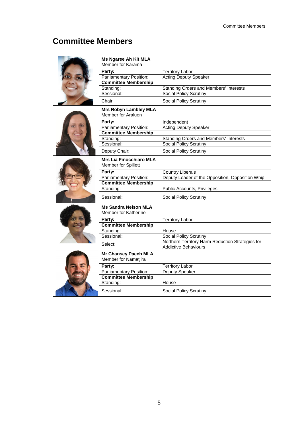## <span id="page-4-0"></span>**Committee Members**

|  | <b>Ms Ngaree Ah Kit MLA</b><br>Member for Karama      |                                                                                 |  |
|--|-------------------------------------------------------|---------------------------------------------------------------------------------|--|
|  | Party:                                                | <b>Territory Labor</b>                                                          |  |
|  | Parliamentary Position:                               | <b>Acting Deputy Speaker</b>                                                    |  |
|  | <b>Committee Membership</b>                           |                                                                                 |  |
|  | Standing:                                             | Standing Orders and Members' Interests                                          |  |
|  | Sessional:                                            | Social Policy Scrutiny                                                          |  |
|  | Chair:                                                | <b>Social Policy Scrutiny</b>                                                   |  |
|  | <b>Mrs Robyn Lambley MLA</b><br>Member for Araluen    |                                                                                 |  |
|  | Party:                                                | Independent                                                                     |  |
|  | <b>Parliamentary Position:</b>                        | <b>Acting Deputy Speaker</b>                                                    |  |
|  | <b>Committee Membership</b>                           |                                                                                 |  |
|  | Standing:                                             | Standing Orders and Members' Interests                                          |  |
|  | Sessional:                                            | <b>Social Policy Scrutiny</b>                                                   |  |
|  | Deputy Chair:                                         | Social Policy Scrutiny                                                          |  |
|  | <b>Mrs Lia Finocchiaro MLA</b><br>Member for Spillett |                                                                                 |  |
|  | Party:                                                | <b>Country Liberals</b>                                                         |  |
|  | Parliamentary Position:                               | Deputy Leader of the Opposition, Opposition Whip                                |  |
|  | <b>Committee Membership</b>                           |                                                                                 |  |
|  | Standing:                                             | Public Accounts, Privileges                                                     |  |
|  | Sessional:                                            | Social Policy Scrutiny                                                          |  |
|  | <b>Ms Sandra Nelson MLA</b><br>Member for Katherine   |                                                                                 |  |
|  | Party:                                                | <b>Territory Labor</b>                                                          |  |
|  | <b>Committee Membership</b>                           |                                                                                 |  |
|  | Standing:                                             | House                                                                           |  |
|  | Sessional:                                            | <b>Social Policy Scrutiny</b>                                                   |  |
|  | Select:                                               | Northern Territory Harm Reduction Strategies for<br><b>Addictive Behaviours</b> |  |
|  | <b>Mr Chansey Paech MLA</b><br>Member for Namatjira   |                                                                                 |  |
|  | Party:                                                | <b>Territory Labor</b>                                                          |  |
|  | <b>Parliamentary Position:</b>                        | Deputy Speaker                                                                  |  |
|  | <b>Committee Membership</b>                           |                                                                                 |  |
|  | Standing:                                             | House                                                                           |  |
|  | Sessional:                                            | Social Policy Scrutiny                                                          |  |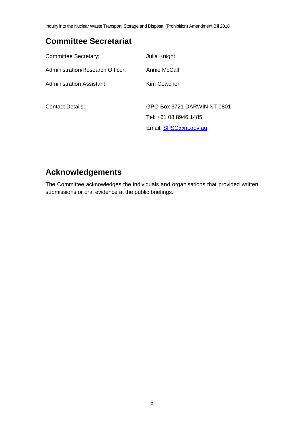## <span id="page-5-0"></span>**Committee Secretariat**

| <b>Committee Secretary:</b>      | Julia Knight                |
|----------------------------------|-----------------------------|
| Administration/Research Officer: | Annie McCall                |
| Administration Assistant:        | Kim Cowcher                 |
|                                  |                             |
| <b>Contact Details:</b>          | GPO Box 3721 DARWIN NT 0801 |
|                                  | Tel: +61 08 8946 1485       |
|                                  | Email: SPSC@nt.gov.au       |

## **Acknowledgements**

The Committee acknowledges the individuals and organisations that provided written submissions or oral evidence at the public briefings.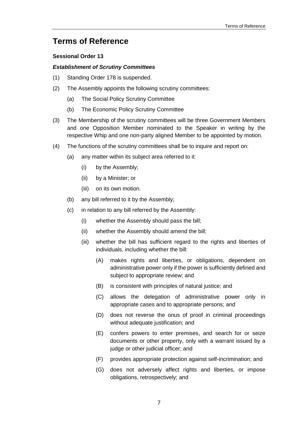### <span id="page-6-0"></span>**Terms of Reference**

#### **Sessional Order 13**

#### *Establishment of Scrutiny Committees*

- (1) Standing Order 178 is suspended.
- (2) The Assembly appoints the following scrutiny committees:
	- (a) The Social Policy Scrutiny Committee
	- (b) The Economic Policy Scrutiny Committee
- (3) The Membership of the scrutiny committees will be three Government Members and one Opposition Member nominated to the Speaker in writing by the respective Whip and one non-party aligned Member to be appointed by motion.
- (4) The functions of the scrutiny committees shall be to inquire and report on:
	- (a) any matter within its subject area referred to it:
		- (i) by the Assembly;
		- (ii) by a Minister; or
		- (iii) on its own motion.
	- (b) any bill referred to it by the Assembly;
	- (c) in relation to any bill referred by the Assembly:
		- (i) whether the Assembly should pass the bill;
		- (ii) whether the Assembly should amend the bill;
		- (iii) whether the bill has sufficient regard to the rights and liberties of individuals, including whether the bill:
			- (A) makes rights and liberties, or obligations, dependent on administrative power only if the power is sufficiently defined and subject to appropriate review; and
			- (B) is consistent with principles of natural justice; and
			- (C) allows the delegation of administrative power only in appropriate cases and to appropriate persons; and
			- (D) does not reverse the onus of proof in criminal proceedings without adequate justification; and
			- (E) confers powers to enter premises, and search for or seize documents or other property, only with a warrant issued by a judge or other judicial officer; and
			- (F) provides appropriate protection against self-incrimination; and
			- (G) does not adversely affect rights and liberties, or impose obligations, retrospectively; and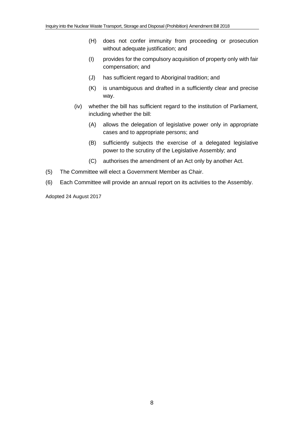- (H) does not confer immunity from proceeding or prosecution without adequate justification; and
- (I) provides for the compulsory acquisition of property only with fair compensation; and
- (J) has sufficient regard to Aboriginal tradition; and
- (K) is unambiguous and drafted in a sufficiently clear and precise way.
- (iv) whether the bill has sufficient regard to the institution of Parliament, including whether the bill:
	- (A) allows the delegation of legislative power only in appropriate cases and to appropriate persons; and
	- (B) sufficiently subjects the exercise of a delegated legislative power to the scrutiny of the Legislative Assembly; and
	- (C) authorises the amendment of an Act only by another Act.
- (5) The Committee will elect a Government Member as Chair.
- (6) Each Committee will provide an annual report on its activities to the Assembly.

Adopted 24 August 2017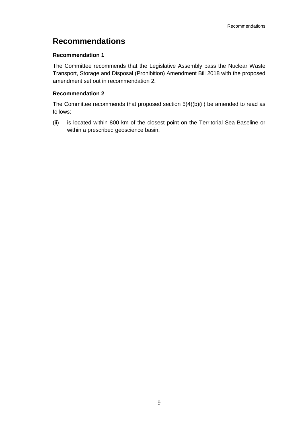### <span id="page-8-0"></span>**Recommendations**

#### **[Recommendation 1](#page-9-4)**

[The Committee recommends that the Legislative Assembly pass the Nuclear](#page-9-5) Waste [Transport, Storage and Disposal \(Prohibition\) Amendment Bill 2018 with the proposed](#page-9-5)  [amendment set out in recommendation 2.](#page-9-5)

### **[Recommendation 2](#page-21-0)**

[The Committee recommends that proposed section 5\(4\)\(b\)\(ii\) be amended to read as](#page-21-1)  [follows:](#page-21-1)

(ii) [is located within 800 km of the closest point on the Territorial Sea Baseline or](#page-21-2)  [within a prescribed geoscience basin.](#page-21-2)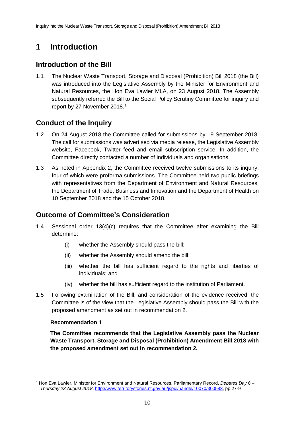## <span id="page-9-0"></span>**1 Introduction**

### <span id="page-9-1"></span>**Introduction of the Bill**

1.1 The Nuclear Waste Transport, Storage and Disposal (Prohibition) Bill 2018 (the Bill) was introduced into the Legislative Assembly by the Minister for Environment and Natural Resources, the Hon Eva Lawler MLA, on 23 August 2018. The Assembly subsequently referred the Bill to the Social Policy Scrutiny Committee for inquiry and report by 27 November 20[1](#page-9-6)8.<sup>1</sup>

### <span id="page-9-2"></span>**Conduct of the Inquiry**

- 1.2 On 24 August 2018 the Committee called for submissions by 19 September 2018. The call for submissions was advertised via media release, the Legislative Assembly website, Facebook, Twitter feed and email subscription service. In addition, the Committee directly contacted a number of individuals and organisations.
- 1.3 As noted in Appendix 2, the Committee received twelve submissions to its inquiry, four of which were proforma submissions. The Committee held two public briefings with representatives from the Department of Environment and Natural Resources, the Department of Trade, Business and Innovation and the Department of Health on 10 September 2018 and the 15 October 2018.

### <span id="page-9-3"></span>**Outcome of Committee's Consideration**

- 1.4 Sessional order 13(4)(c) requires that the Committee after examining the Bill determine:
	- (i) whether the Assembly should pass the bill;
	- (ii) whether the Assembly should amend the bill;
	- (iii) whether the bill has sufficient regard to the rights and liberties of individuals; and
	- (iv) whether the bill has sufficient regard to the institution of Parliament.
- 1.5 Following examination of the Bill, and consideration of the evidence received, the Committee is of the view that the Legislative Assembly should pass the Bill with the proposed amendment as set out in recommendation 2.

#### <span id="page-9-4"></span>**Recommendation 1**

-

<span id="page-9-5"></span>**The Committee recommends that the Legislative Assembly pass the Nuclear Waste Transport, Storage and Disposal (Prohibition) Amendment Bill 2018 with the proposed amendment set out in recommendation 2.**

<span id="page-9-6"></span><sup>1</sup> Hon Eva Lawler, Minister for Environment and Natural Resources, Parliamentary Record, *Debates Day 6 – Thursday 23 August 2018*[, http://www.territorystories.nt.gov.au/jspui/handle/10070/300583,](http://www.territorystories.nt.gov.au/jspui/handle/10070/300583) pp.27-9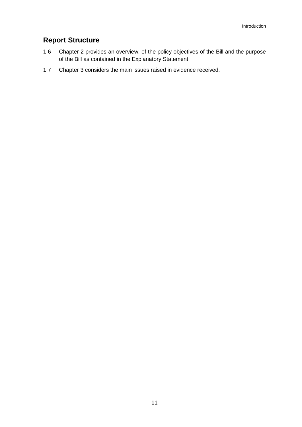### <span id="page-10-0"></span>**Report Structure**

- 1.6 Chapter 2 provides an overview; of the policy objectives of the Bill and the purpose of the Bill as contained in the Explanatory Statement.
- 1.7 Chapter 3 considers the main issues raised in evidence received.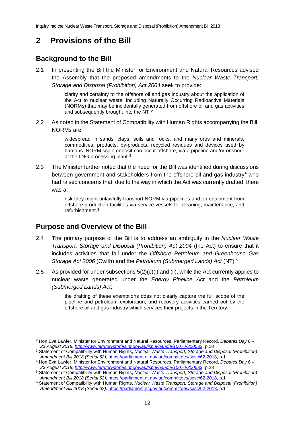## <span id="page-11-0"></span>**2 Provisions of the Bill**

### <span id="page-11-1"></span>**Background to the Bill**

2.1 In presenting the Bill the Minister for Environment and Natural Resources advised the Assembly that the proposed amendments to the *Nuclear Waste Transport, Storage and Disposal (Prohibition) Act 2004* seek to provide:

> clarity and certainty to the offshore oil and gas industry about the application of the Act to nuclear waste, including Naturally Occurring Radioactive Materials (NORMs) that may be incidentally generated from offshore oil and gas activities and subsequently brought into the NT.[2](#page-11-3)

2.2 As noted in the Statement of Compatibility with Human Rights accompanying the Bill, NORMs are:

> widespread in sands, clays, soils and rocks, and many ores and minerals, commodities, products, by-products, recycled residues and devices used by humans. NORM scale deposit can occur offshore, via a pipeline and/or onshore at the LNG processing plant.[3](#page-11-4)

2.3 The Minister further noted that the need for the Bill was identified during discussions between government and stakeholders from the offshore oil and gas industry<sup>[4](#page-11-5)</sup> who had raised concerns that, due to the way in which the Act was currently drafted, there was a:

> risk they might unlawfully transport NORM via pipelines and on equipment from offshore production facilities via service vessels for cleaning, maintenance, and refurbishment.[5](#page-11-6)

### <span id="page-11-2"></span>**Purpose and Overview of the Bill**

-

- 2.4 The primary purpose of the Bill is to address an ambiguity in the *Nuclear Waste Transport, Storage and Disposal (Prohibition) Act 2004* (the Act) to ensure that it includes activities that fall under the *Offshore Petroleum and Greenhouse Gas Storage Act 2006* (Cwlth) and the *Petroleum (Submerged Lands) Act* (NT)*. [6](#page-11-7)*
- 2.5 As provided for under subsections 5(2)(c)(i) and (ii), while the Act currently applies to nuclear waste generated under the *Energy Pipeline Act* and the *Petroleum (Submerged Lands) Act*:

the drafting of these exemptions does not clearly capture the full scope of the pipeline and petroleum exploration, and recovery activities carried out by the offshore oil and gas industry which services their projects in the Territory.

<span id="page-11-3"></span><sup>2</sup> Hon Eva Lawler, Minister for Environment and Natural Resources, Parliamentary Record, *Debates Day 6 – 23 August 2018[, http://www.territorystories.nt.gov.au/jspui/handle/10070/300583](http://www.territorystories.nt.gov.au/jspui/handle/10070/300583)*, p.28

<span id="page-11-4"></span><sup>3</sup> Statement of Compatibility with Human Rights, *Nuclear Waste Transport, Storage and Disposal (Prohibition) Amendment Bill 2018 (Serial 62),* [https://parliament.nt.gov.au/committees/spsc/62-2018,](https://parliament.nt.gov.au/committees/spsc/62-2018) p.1

<span id="page-11-5"></span><sup>4</sup> Hon Eva Lawler, Minister for Environment and Natural Resources, Parliamentary Record, *Debates Day 6 – 23 August 2018[, http://www.territorystories.nt.gov.au/jspui/handle/10070/300583](http://www.territorystories.nt.gov.au/jspui/handle/10070/300583)*, p.28

<span id="page-11-6"></span><sup>5</sup> Statement of Compatibility with Human Rights, *Nuclear Waste Transport, Storage and Disposal (Prohibition) Amendment Bill 2018 (Serial 62),* [https://parliament.nt.gov.au/committees/spsc/62-2018,](https://parliament.nt.gov.au/committees/spsc/62-2018) p.1

<span id="page-11-7"></span><sup>6</sup> Statement of Compatibility with Human Rights, *Nuclear Waste Transport, Storage and Disposal (Prohibition) Amendment Bill 2018 (Serial 62),* [https://parliament.nt.gov.au/committees/spsc/62-2018,](https://parliament.nt.gov.au/committees/spsc/62-2018) p.1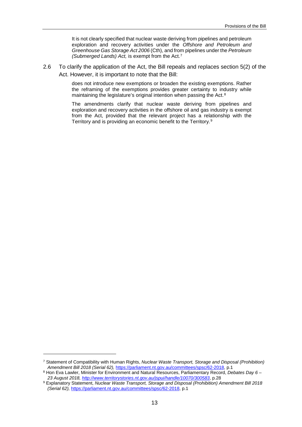It is not clearly specified that nuclear waste deriving from pipelines and petroleum exploration and recovery activities under the *Offshore and Petroleum and Greenhouse Gas Storage Act 2006* (Cth), and from pipelines under the *Petroleum (Submerged Lands) Act,* is exempt from the Act.[7](#page-12-0)

2.6 To clarify the application of the Act, the Bill repeals and replaces section 5(2) of the Act. However, it is important to note that the Bill:

> does not introduce new exemptions or broaden the existing exemptions. Rather the reframing of the exemptions provides greater certainty to industry while maintaining the legislature's original intention when passing the Act.<sup>[8](#page-12-1)</sup>

> The amendments clarify that nuclear waste deriving from pipelines and exploration and recovery activities in the offshore oil and gas industry is exempt from the Act, provided that the relevant project has a relationship with the Territory and is providing an economic benefit to the Territory.[9](#page-12-2)

<span id="page-12-0"></span><sup>7</sup> Statement of Compatibility with Human Rights, *Nuclear Waste Transport, Storage and Disposal (Prohibition) Amendment Bill 2018 (Serial 62),* [https://parliament.nt.gov.au/committees/spsc/62-2018,](https://parliament.nt.gov.au/committees/spsc/62-2018) p.1

<span id="page-12-1"></span><sup>8</sup> Hon Eva Lawler, Minister for Environment and Natural Resources, Parliamentary Record, *Debates Day 6 – 23 August 2018[, http://www.territorystories.nt.gov.au/jspui/handle/10070/300583](http://www.territorystories.nt.gov.au/jspui/handle/10070/300583)*, p.28

<span id="page-12-2"></span><sup>9</sup> Explanatory Statement, *Nuclear Waste Transport, Storage and Disposal (Prohibition) Amendment Bill 2018 (Serial 62),* [https://parliament.nt.gov.au/committees/spsc/62-2018,](https://parliament.nt.gov.au/committees/spsc/62-2018) p.1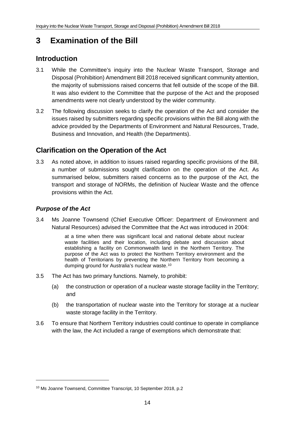## <span id="page-13-0"></span>**3 Examination of the Bill**

### <span id="page-13-1"></span>**Introduction**

- 3.1 While the Committee's inquiry into the Nuclear Waste Transport, Storage and Disposal (Prohibition) Amendment Bill 2018 received significant community attention, the majority of submissions raised concerns that fell outside of the scope of the Bill. It was also evident to the Committee that the purpose of the Act and the proposed amendments were not clearly understood by the wider community.
- 3.2 The following discussion seeks to clarify the operation of the Act and consider the issues raised by submitters regarding specific provisions within the Bill along with the advice provided by the Departments of Environment and Natural Resources, Trade, Business and Innovation, and Health (the Departments).

### <span id="page-13-2"></span>**Clarification on the Operation of the Act**

3.3 As noted above, in addition to issues raised regarding specific provisions of the Bill, a number of submissions sought clarification on the operation of the Act. As summarised below, submitters raised concerns as to the purpose of the Act, the transport and storage of NORMs, the definition of Nuclear Waste and the offence provisions within the Act.

### <span id="page-13-3"></span>*Purpose of the Act*

-

3.4 Ms Joanne Townsend (Chief Executive Officer: Department of Environment and Natural Resources) advised the Committee that the Act was introduced in 2004:

> at a time when there was significant local and national debate about nuclear waste facilities and their location, including debate and discussion about establishing a facility on Commonwealth land in the Northern Territory. The purpose of the Act was to protect the Northern Territory environment and the health of Territorians by preventing the Northern Territory from becoming a dumping ground for Australia's nuclear waste.<sup>[10](#page-13-4)</sup>

- 3.5 The Act has two primary functions. Namely, to prohibit:
	- (a) the construction or operation of a nuclear waste storage facility in the Territory; and
	- (b) the transportation of nuclear waste into the Territory for storage at a nuclear waste storage facility in the Territory.
- 3.6 To ensure that Northern Territory industries could continue to operate in compliance with the law, the Act included a range of exemptions which demonstrate that:

<span id="page-13-4"></span><sup>10</sup> Ms Joanne Townsend, Committee Transcript, 10 September 2018, p.2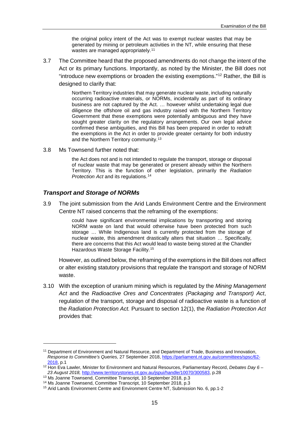the original policy intent of the Act was to exempt nuclear wastes that may be generated by mining or petroleum activities in the NT, while ensuring that these wastes are managed appropriately.<sup>[11](#page-14-1)</sup>

3.7 The Committee heard that the proposed amendments do not change the intent of the Act or its primary functions. Importantly, as noted by the Minister, the Bill does not "introduce new exemptions or broaden the existing exemptions."[12](#page-14-2) Rather, the Bill is designed to clarify that:

> Northern Territory industries that may generate nuclear waste, including naturally occurring radioactive materials, or NORMs, incidentally as part of its ordinary business are not captured by the Act. … however whilst undertaking legal due diligence the offshore oil and gas industry raised with the Northern Territory Government that these exemptions were potentially ambiguous and they have sought greater clarity on the regulatory arrangements. Our own legal advice confirmed these ambiguities, and this Bill has been prepared in order to redraft the exemptions in the Act in order to provide greater certainty for both industry and the Northern Territory community.[13](#page-14-3)

3.8 Ms Townsend further noted that:

the Act does not and is not intended to regulate the transport, storage or disposal of nuclear waste that may be generated or present already within the Northern Territory. This is the function of other legislation, primarily the *Radiation Protection Act* and its regulations.[14](#page-14-4)

### <span id="page-14-0"></span>*Transport and Storage of NORMs*

<u>.</u>

3.9 The joint submission from the Arid Lands Environment Centre and the Environment Centre NT raised concerns that the reframing of the exemptions:

> could have significant environmental implications by transporting and storing NORM waste on land that would otherwise have been protected from such storage … While Indigenous land is currently protected from the storage of nuclear waste, this amendment drastically alters that situation … Specifically, there are concerns that this Act would lead to waste being stored at the Chandler Hazardous Waste Storage Facility.[15](#page-14-5)

However, as outlined below, the reframing of the exemptions in the Bill does not affect or alter existing statutory provisions that regulate the transport and storage of NORM waste.

3.10 With the exception of uranium mining which is regulated by the *Mining Management Act* and the *Radioactive Ores and Concentrates (Packaging and Transport) Act*, regulation of the transport, storage and disposal of radioactive waste is a function of the *Radiation Protection Act.* Pursuant to section 12(1), the *Radiation Protection Act* provides that:

<span id="page-14-1"></span><sup>11</sup> Department of Environment and Natural Resource, and Department of Trade, Business and Innovation, *Response to Committee's Queries,* 27 September 2018[, https://parliament.nt.gov.au/committees/spsc/62-](https://parliament.nt.gov.au/committees/spsc/62-2018) [2018,](https://parliament.nt.gov.au/committees/spsc/62-2018) p.1

<span id="page-14-2"></span><sup>12</sup> Hon Eva Lawler, Minister for Environment and Natural Resources, Parliamentary Record, *Debates Day 6 – 23 August 2018,* [http://www.territorystories.nt.gov.au/jspui/handle/10070/300583,](http://www.territorystories.nt.gov.au/jspui/handle/10070/300583) p.28

<span id="page-14-3"></span><sup>&</sup>lt;sup>13</sup> Ms Joanne Townsend, Committee Transcript, 10 September 2018, p.3

<span id="page-14-4"></span><sup>14</sup> Ms Joanne Townsend, Committee Transcript, 10 September 2018, p.3

<span id="page-14-5"></span><sup>15</sup> Arid Lands Environment Centre and Environment Centre NT, Submission No. 6, pp.1-2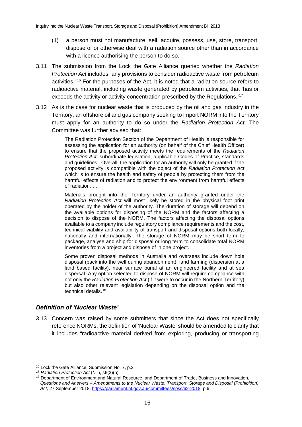- (1) a person must not manufacture, sell, acquire, possess, use, store, transport, dispose of or otherwise deal with a radiation source other than in accordance with a licence authorising the person to do so.
- 3.11 The submission from the Lock the Gate Alliance queried whether the *Radiation Protection Act* includes "any provisions to consider radioactive waste from petroleum activities."[16](#page-15-1) For the purposes of the Act, it is noted that a radiation source refers to radioactive material, including waste generated by petroleum activities, that 'has or exceeds the activity or activity concentration prescribed by the Regulations.'<sup>[17](#page-15-2)</sup>
- 3.12 As is the case for nuclear waste that is produced by the oil and gas industry in the Territory, an offshore oil and gas company seeking to import NORM into the Territory must apply for an authority to do so under the *Radiation Protection Act*. The Committee was further advised that:

The Radiation Protection Section of the Department of Health is responsible for assessing the application for an authority (on behalf of the Chief Health Officer) to ensure that the proposed activity meets the requirements of the *Radiation Protection Act,* subordinate legislation, applicable Codes of Practice, standards and guidelines. Overall, the application for an authority will only be granted if the proposed activity is compatible with the object of the *Radiation Protection Act*  which is to ensure the health and safety of people by protecting them from the harmful effects of radiation and to protect the environment from harmful effects of radiation. …

Materials brought into the Territory under an authority granted under the *Radiation Protection Act* will most likely be stored in the physical foot print operated by the holder of the authority. The duration of storage will depend on the available options for disposing of the NORM and the factors affecting a decision to dispose of the NORM. The factors affecting the disposal options available to a company include regulatory compliance requirements and the cost, technical viability and availability of transport and disposal options both locally, nationally and internationally. The storage of NORM may be short term to package, analyse and ship for disposal or long term to consolidate total NORM inventories from a project and dispose of in one project.

Some proven disposal methods in Australia and overseas include down hole disposal (back into the well during abandonment), land farming (dispersion at a land based facility), near surface burial at an engineered facility and at sea dispersal. Any option selected to dispose of NORM will require compliance with not only the *Radiation Protection Act* (if it were to occur in the Northern Territory) but also other relevant legislation depending on the disposal option and the technical details.[18](#page-15-3)

### <span id="page-15-0"></span>*Definition of 'Nuclear Waste'*

3.13 Concern was raised by some submitters that since the Act does not specifically reference NORMs, the definition of 'Nuclear Waste' should be amended to clarify that it includes "radioactive material derived from exploring, producing or transporting

<span id="page-15-1"></span><sup>16</sup> Lock the Gate Alliance, Submission No. 7, p.2

<span id="page-15-2"></span><sup>17</sup> *Radiation Protection Act* (NT), s6(3)(b)

<span id="page-15-3"></span><sup>&</sup>lt;sup>18</sup> Department of Environment and Natural Resource, and Department of Trade, Business and Innovation, *Questions and Answers – Amendments to the Nuclear Waste, Transport, Storage and Disposal (Prohibition) Act,* 27 September 2018[, https://parliament.nt.gov.au/committees/spsc/62-2018,](https://parliament.nt.gov.au/committees/spsc/62-2018) p.6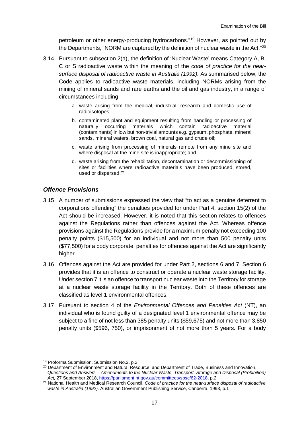petroleum or other energy-producing hydrocarbons."[19](#page-16-1) However, as pointed out by the Departments, "NORM are captured by the definition of nuclear waste in the Act."<sup>[20](#page-16-2)</sup>

- 3.14 Pursuant to subsection 2(a), the definition of 'Nuclear Waste' means Category A, B, C or S radioactive waste within the meaning of the *code of practice for the nearsurface disposal of radioactive waste in Australia (1992).* As summarised below, the Code applies to radioactive waste materials, including NORMs arising from the mining of mineral sands and rare earths and the oil and gas industry, in a range of circumstances including:
	- a. waste arising from the medical, industrial, research and domestic use of radioisotopes;
	- b. contaminated plant and equipment resulting from handling or processing of naturally occurring materials which contain radioactive material (contaminants) in low but non-trivial amounts e.g. gypsum, phosphate, mineral sands, mineral waters, brown coal, natural gas and crude oil;
	- c. waste arising from processing of minerals remote from any mine site and where disposal at the mine site is inappropriate; and
	- d. waste arising from the rehabilitation, decontamination or decommissioning of sites or facilities where radioactive materials have been produced, stored, used or dispersed.[21](#page-16-3)

#### <span id="page-16-0"></span>*Offence Provisions*

- 3.15 A number of submissions expressed the view that "to act as a genuine deterrent to corporations offending" the penalties provided for under Part 4, section 15(2) of the Act should be increased. However, it is noted that this section relates to offences against the Regulations rather than offences against the Act. Whereas offence provisions against the Regulations provide for a maximum penalty not exceeding 100 penalty points (\$15,500) for an individual and not more than 500 penalty units (\$77,500) for a body corporate, penalties for offences against the Act are significantly higher.
- 3.16 Offences against the Act are provided for under Part 2, sections 6 and 7. Section 6 provides that it is an offence to construct or operate a nuclear waste storage facility. Under section 7 it is an offence to transport nuclear waste into the Territory for storage at a nuclear waste storage facility in the Territory. Both of these offences are classified as level 1 environmental offences.
- 3.17 Pursuant to section 4 of the *Environmental Offences and Penalties Act* (NT), an individual who is found guilty of a designated level 1 environmental offence may be subject to a fine of not less than 385 penalty units (\$59,675) and not more than 3,850 penalty units (\$596, 750), or imprisonment of not more than 5 years. For a body

<span id="page-16-1"></span><sup>19</sup> Proforma Submission, Submission No.2, p.2

<span id="page-16-2"></span><sup>&</sup>lt;sup>20</sup> Department of Environment and Natural Resource, and Department of Trade, Business and Innovation, *Questions and Answers – Amendments to the Nuclear Waste, Transport, Storage and Disposal (Prohibition)*  Act, 27 September 2018[, https://parliament.nt.gov.au/committees/spsc/62-2018,](https://parliament.nt.gov.au/committees/spsc/62-2018) p.2

<span id="page-16-3"></span><sup>21</sup> National Health and Medical Research Council, *Code of practice for the near-surface disposal of radioactive waste in Australia (1992),* Australian Government Publishing Service, Canberra, 1993, p.1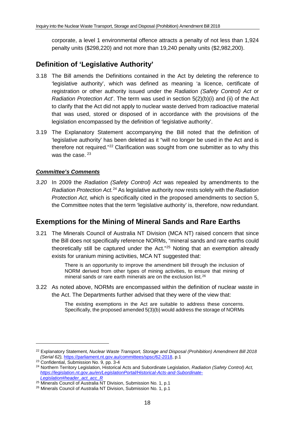corporate, a level 1 environmental offence attracts a penalty of not less than 1,924 penalty units (\$298,220) and not more than 19,240 penalty units (\$2,982,200).

### <span id="page-17-0"></span>**Definition of 'Legislative Authority'**

- 3.18 The Bill amends the Definitions contained in the Act by deleting the reference to 'legislative authority', which was defined as meaning 'a licence, certificate of registration or other authority issued under the *Radiation (Safety Control) Act* or *Radiation Protection Act*'. The term was used in section 5(2)(b)(i) and (ii) of the Act to clarify that the Act did not apply to nuclear waste derived from radioactive material that was used, stored or disposed of in accordance with the provisions of the legislation encompassed by the definition of 'legislative authority'.
- 3.19 The Explanatory Statement accompanying the Bill noted that the definition of 'legislative authority' has been deleted as it "will no longer be used in the Act and is therefore not required."[22](#page-17-2) Clarification was sought from one submitter as to why this was the case. [23](#page-17-3)

### *Committee's Comments*

*3.20* In 2009 the *Radiation (Safety Control) Act* was repealed by amendments to the *Radiation Protection Act.*[24](#page-17-4) As legislative authority now rests solely with the *Radiation Protection Act,* which is specifically cited in the proposed amendments to section 5, the Committee notes that the term 'legislative authority' is, therefore, now redundant.

### <span id="page-17-1"></span>**Exemptions for the Mining of Mineral Sands and Rare Earths**

3.21 The Minerals Council of Australia NT Division (MCA NT) raised concern that since the Bill does not specifically reference NORMs, "mineral sands and rare earths could theoretically still be captured under the Act."[25](#page-17-5) Noting that an exemption already exists for uranium mining activities, MCA NT suggested that:

> There is an opportunity to improve the amendment bill through the inclusion of NORM derived from other types of mining activities, to ensure that mining of mineral sands or rare earth minerals are on the exclusion list.[26](#page-17-6)

3.22 As noted above, NORMs are encompassed within the definition of nuclear waste in the Act. The Departments further advised that they were of the view that:

> The existing exemptions in the Act are suitable to address these concerns. Specifically, the proposed amended 5(3)(b) would address the storage of NORMs

<span id="page-17-2"></span><sup>22</sup> Explanatory Statement, *Nuclear Waste Transport, Storage and Disposal (Prohibition) Amendment Bill 2018 (Serial 62),* [https://parliament.nt.gov.au/committees/spsc/62-2018,](https://parliament.nt.gov.au/committees/spsc/62-2018) p.1

<sup>23</sup> Confidential, Submission No. 9, pp. 3-4

<span id="page-17-4"></span><span id="page-17-3"></span><sup>24</sup> Northern Territory Legislation, Historical Acts and Subordinate Legislation, *Radiation (Safety Control) Act, [https://legislation.nt.gov.au/en/LegislationPortal/Historical-Acts-and-Subordinate-](https://legislation.nt.gov.au/en/LegislationPortal/Historical-Acts-and-Subordinate-Legislation#header_act_acc_R)[Legislation#header\\_act\\_acc\\_R](https://legislation.nt.gov.au/en/LegislationPortal/Historical-Acts-and-Subordinate-Legislation#header_act_acc_R)*

<span id="page-17-5"></span><sup>&</sup>lt;sup>25</sup> Minerals Council of Australia NT Division, Submission No. 1, p.1

<span id="page-17-6"></span><sup>26</sup> Minerals Council of Australia NT Division, Submission No. 1, p.1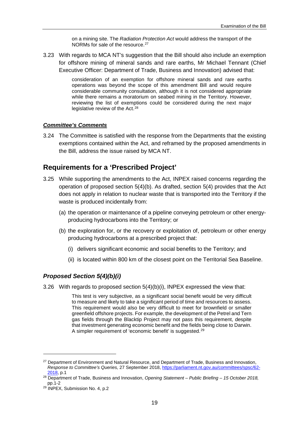on a mining site. The *Radiation Protection Act* would address the transport of the NORMs for sale of the resource.<sup>[27](#page-18-2)</sup>

3.23 With regards to MCA NT's suggestion that the Bill should also include an exemption for offshore mining of mineral sands and rare earths, Mr Michael Tennant (Chief Executive Officer: Department of Trade, Business and Innovation) advised that:

> consideration of an exemption for offshore mineral sands and rare earths operations was beyond the scope of this amendment Bill and would require considerable community consultation, although it is not considered appropriate while there remains a moratorium on seabed mining in the Territory. However, reviewing the list of exemptions could be considered during the next major legislative review of the Act.<sup>[28](#page-18-3)</sup>

#### *Committee's Comments*

3.24 The Committee is satisfied with the response from the Departments that the existing exemptions contained within the Act, and reframed by the proposed amendments in the Bill, address the issue raised by MCA NT.

### <span id="page-18-0"></span>**Requirements for a 'Prescribed Project'**

- 3.25 While supporting the amendments to the Act, INPEX raised concerns regarding the operation of proposed section 5(4)(b). As drafted, section 5(4) provides that the Act does not apply in relation to nuclear waste that is transported into the Territory if the waste is produced incidentally from:
	- (a) the operation or maintenance of a pipeline conveying petroleum or other energyproducing hydrocarbons into the Territory; or
	- (b) the exploration for, or the recovery or exploitation of, petroleum or other energy producing hydrocarbons at a prescribed project that:
		- (i) delivers significant economic and social benefits to the Territory; and
		- (ii) is located within 800 km of the closest point on the Territorial Sea Baseline.

#### <span id="page-18-1"></span>*Proposed Section 5(4)(b)(i)*

3.26 With regards to proposed section 5(4)(b)(i), INPEX expressed the view that:

This test is very subjective, as a significant social benefit would be very difficult to measure and likely to take a significant period of time and resources to assess. This requirement would also be very difficult to meet for brownfield or smaller greenfield offshore projects. For example, the development of the Petrel and Tern gas fields through the Blacktip Project may not pass this requirement, despite that investment generating economic benefit and the fields being close to Darwin. A simpler requirement of 'economic benefit' is suggested.<sup>[29](#page-18-4)</sup>

<span id="page-18-2"></span><sup>&</sup>lt;sup>27</sup> Department of Environment and Natural Resource, and Department of Trade, Business and Innovation, *Response to Committee's Queries,* 27 September 2018[, https://parliament.nt.gov.au/committees/spsc/62-](https://parliament.nt.gov.au/committees/spsc/62-2018) [2018,](https://parliament.nt.gov.au/committees/spsc/62-2018) p.1

<span id="page-18-3"></span><sup>28</sup> Department of Trade, Business and Innovation, *Opening Statement – Public Briefing – 15 October 2018,*  pp.1-2

<span id="page-18-4"></span><sup>29</sup> INPEX, Submission No. 4, p.2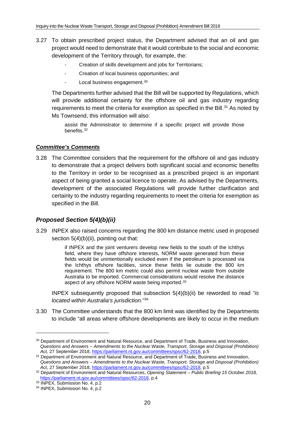- 3.27 To obtain prescribed project status, the Department advised that an oil and gas project would need to demonstrate that it would contribute to the social and economic development of the Territory through, for example, the:
	- Creation of skills development and jobs for Territorians;
	- Creation of local business opportunities; and
	- Local business engagement.<sup>[30](#page-19-1)</sup>

The Departments further advised that the Bill will be supported by Regulations, which will provide additional certainty for the offshore oil and gas industry regarding requirements to meet the criteria for exemption as specified in the Bill.<sup>[31](#page-19-2)</sup> As noted by Ms Townsend, this information will also:

assist the Administrator to determine if a specific project will provide those benefits.[32](#page-19-3)

#### *Committee's Comments*

3.28 The Committee considers that the requirement for the offshore oil and gas industry to demonstrate that a project delivers both significant social and economic benefits to the Territory in order to be recognised as a prescribed project is an important aspect of being granted a social licence to operate. As advised by the Departments, development of the associated Regulations will provide further clarification and certainty to the industry regarding requirements to meet the criteria for exemption as specified in the Bill.

### <span id="page-19-0"></span>*Proposed Section 5(4)(b)(ii)*

3.29 INPEX also raised concerns regarding the 800 km distance metric used in proposed section 5(4)(b)(ii), pointing out that:

> if INPEX and the joint venturers develop new fields to the south of the Ichthys field, where they have offshore interests, NORM waste generated from these fields would be unintentionally excluded even if the petroleum is processed via the Ichthys offshore facilities, since these fields lie outside the 800 km requirement. The 800 km metric could also permit nuclear waste from outside Australia to be imported. Commercial considerations would resolve the distance aspect of any offshore NORM waste being imported.<sup>[33](#page-19-4)</sup>

INPEX subsequently proposed that subsection 5(4)(b)(ii) be reworded to read *"is located within Australia's jurisdiction."*[34](#page-19-5)

3.30 The Committee understands that the 800 km limit was identified by the Departments to include "all areas where offshore developments are likely to occur in the medium

<span id="page-19-1"></span><sup>&</sup>lt;sup>30</sup> Department of Environment and Natural Resource, and Department of Trade, Business and Innovation, *Questions and Answers – Amendments to the Nuclear Waste, Transport, Storage and Disposal (Prohibition) Act,* 27 September 2018[, https://parliament.nt.gov.au/committees/spsc/62-2018,](https://parliament.nt.gov.au/committees/spsc/62-2018) p.5

<span id="page-19-2"></span><sup>&</sup>lt;sup>31</sup> Department of Environment and Natural Resource, and Department of Trade, Business and Innovation, *Questions and Answers – Amendments to the Nuclear Waste, Transport, Storage and Disposal (Prohibition) Act,* 27 September 2018[, https://parliament.nt.gov.au/committees/spsc/62-2018,](https://parliament.nt.gov.au/committees/spsc/62-2018) p.5

<span id="page-19-3"></span><sup>32</sup> Department of Environment and Natural Resources, *Opening Statement – Public Briefing 15 October 2018,*  [https://parliament.nt.gov.au/committees/spsc/62-2018,](https://parliament.nt.gov.au/committees/spsc/62-2018) p.4

<sup>33</sup> **INPEX, Submission No. 4, p.2** 

<span id="page-19-5"></span><span id="page-19-4"></span><sup>34</sup> INPEX, Submission No. 4, p.2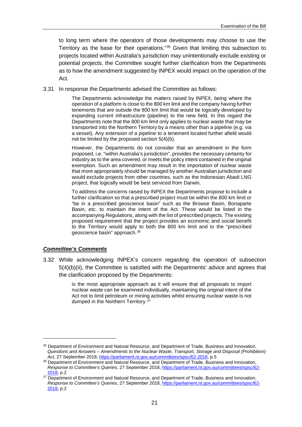to long term where the operators of those developments may choose to use the Territory as the base for their operations."[35](#page-20-0) Given that limiting this subsection to projects located within Australia's jurisdiction may unintentionally exclude existing or potential projects, the Committee sought further clarification from the Departments as to how the amendment suggested by INPEX would impact on the operation of the Act.

3.31 In response the Departments advised the Committee as follows:

The Departments acknowledge the matters raised by INPEX, being where the operation of a platform is close to the 800 km limit and the company having further tenements that are outside the 800 km limit that would be logically developed by expanding current infrastructure (pipeline) to the new field. In this regard the Departments note that the 800 km limit only applies to nuclear waste that may be transported into the Northern Territory by a means other than a pipeline (e.g. via a vessel). Any extension of a pipeline to a tenement located further afield would not be limited by the proposed section 5(4)(b).

However, the Departments do not consider that an amendment in the form proposed, i.e. "within Australia's jurisdiction", provides the necessary certainty for industry as to the area covered, or meets the policy intent contained in the original exemption. Such an amendment may result in the importation of nuclear waste that more appropriately should be managed by another Australian jurisdiction and would exclude projects from other countries, such as the Indonesian Abadi LNG project, that logically would be best serviced from Darwin.

To address the concerns raised by INPEX the Departments propose to include a further clarification so that a prescribed project must be within the 800 km limit or "be in a prescribed geoscience basin" such as the Browse Basin, Bonaparte Basin, etc. to maintain the intent of the Act. These would be listed in the accompanying Regulations, along with the list of prescribed projects. The existing proposed requirement that the project provides an economic and social benefit to the Territory would apply to both the 800 km limit and to the "prescribed geoscience basin" approach.[36](#page-20-1)

#### *Committee's Comments*

-

3.32 While acknowledging INPEX's concern regarding the operation of subsection 5(4)(b)(ii), the Committee is satisfied with the Departments' advice and agrees that the clarification proposed by the Departments:

> is the most appropriate approach as it will ensure that all proposals to import nuclear waste can be examined individually, maintaining the original intent of the Act not to limit petroleum or mining activities whilst ensuring nuclear waste is not dumped in the Northern Territory.[37](#page-20-2)

<span id="page-20-0"></span><sup>35</sup> Department of Environment and Natural Resource, and Department of Trade, Business and Innovation, *Questions and Answers – Amendments to the Nuclear Waste, Transport, Storage and Disposal (Prohibition)*  Act, 27 September 2018[, https://parliament.nt.gov.au/committees/spsc/62-2018,](https://parliament.nt.gov.au/committees/spsc/62-2018) p.5

<span id="page-20-1"></span><sup>36</sup> Department of Environment and Natural Resource, and Department of Trade, Business and Innovation, *Response to Committee's Queries,* 27 September 2018[, https://parliament.nt.gov.au/committees/spsc/62-](https://parliament.nt.gov.au/committees/spsc/62-2018) [2018,](https://parliament.nt.gov.au/committees/spsc/62-2018) p.2

<span id="page-20-2"></span><sup>&</sup>lt;sup>37</sup> Department of Environment and Natural Resource, and Department of Trade, Business and Innovation, *Response to Committee's Queries,* 27 September 2018[, https://parliament.nt.gov.au/committees/spsc/62-](https://parliament.nt.gov.au/committees/spsc/62-2018) [2018,](https://parliament.nt.gov.au/committees/spsc/62-2018) p.2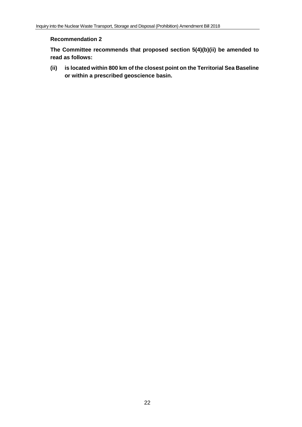#### <span id="page-21-0"></span>**Recommendation 2**

<span id="page-21-1"></span>**The Committee recommends that proposed section 5(4)(b)(ii) be amended to read as follows:**

<span id="page-21-2"></span>**(ii) is located within 800 km of the closest point on the Territorial Sea Baseline or within a prescribed geoscience basin.**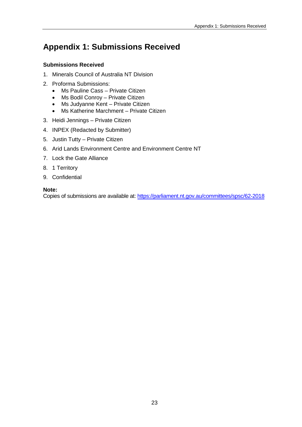## <span id="page-22-0"></span>**Appendix 1: Submissions Received**

### **Submissions Received**

- 1. Minerals Council of Australia NT Division
- 2. Proforma Submissions:
	- Ms Pauline Cass Private Citizen
	- Ms Bodil Conroy Private Citizen
	- Ms Judyanne Kent Private Citizen
	- Ms Katherine Marchment Private Citizen
- 3. Heidi Jennings Private Citizen
- 4. INPEX (Redacted by Submitter)
- 5. Justin Tutty Private Citizen
- 6. Arid Lands Environment Centre and Environment Centre NT
- 7. Lock the Gate Alliance
- 8. 1 Territory
- 9. Confidential

#### **Note:**

Copies of submissions are available at:<https://parliament.nt.gov.au/committees/spsc/62-2018>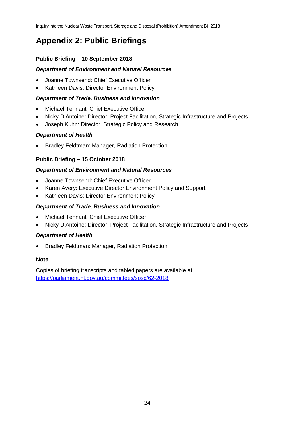## <span id="page-23-0"></span>**Appendix 2: Public Briefings**

### **Public Briefing – 10 September 2018**

### *Department of Environment and Natural Resources*

- Joanne Townsend: Chief Executive Officer
- Kathleen Davis: Director Environment Policy

### *Department of Trade, Business and Innovation*

- Michael Tennant: Chief Executive Officer
- Nicky D'Antoine: Director, Project Facilitation, Strategic Infrastructure and Projects
- Joseph Kuhn: Director, Strategic Policy and Research

### *Department of Health*

• Bradley Feldtman: Manager, Radiation Protection

### **Public Briefing – 15 October 2018**

### *Department of Environment and Natural Resources*

- Joanne Townsend: Chief Executive Officer
- Karen Avery: Executive Director Environment Policy and Support
- Kathleen Davis: Director Environment Policy

### *Department of Trade, Business and Innovation*

- Michael Tennant: Chief Executive Officer
- Nicky D'Antoine: Director, Project Facilitation, Strategic Infrastructure and Projects

### *Department of Health*

• Bradley Feldtman: Manager, Radiation Protection

#### **Note**

Copies of briefing transcripts and tabled papers are available at: <https://parliament.nt.gov.au/committees/spsc/62-2018>